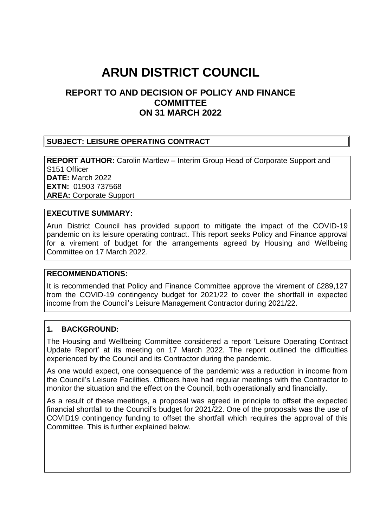# **ARUN DISTRICT COUNCIL**

# **REPORT TO AND DECISION OF POLICY AND FINANCE COMMITTEE ON 31 MARCH 2022**

### **SUBJECT: LEISURE OPERATING CONTRACT**

**REPORT AUTHOR:** Carolin Martlew – Interim Group Head of Corporate Support and S151 Officer **DATE:** March 2022 **EXTN:** 01903 737568 **AREA:** Corporate Support

### **EXECUTIVE SUMMARY:**

Arun District Council has provided support to mitigate the impact of the COVID-19 pandemic on its leisure operating contract. This report seeks Policy and Finance approval for a virement of budget for the arrangements agreed by Housing and Wellbeing Committee on 17 March 2022.

#### **RECOMMENDATIONS:**

It is recommended that Policy and Finance Committee approve the virement of £289,127 from the COVID-19 contingency budget for 2021/22 to cover the shortfall in expected income from the Council's Leisure Management Contractor during 2021/22.

#### **1. BACKGROUND:**

The Housing and Wellbeing Committee considered a report 'Leisure Operating Contract Update Report' at its meeting on 17 March 2022. The report outlined the difficulties experienced by the Council and its Contractor during the pandemic.

As one would expect, one consequence of the pandemic was a reduction in income from the Council's Leisure Facilities. Officers have had regular meetings with the Contractor to monitor the situation and the effect on the Council, both operationally and financially.

As a result of these meetings, a proposal was agreed in principle to offset the expected financial shortfall to the Council's budget for 2021/22. One of the proposals was the use of COVID19 contingency funding to offset the shortfall which requires the approval of this Committee. This is further explained below.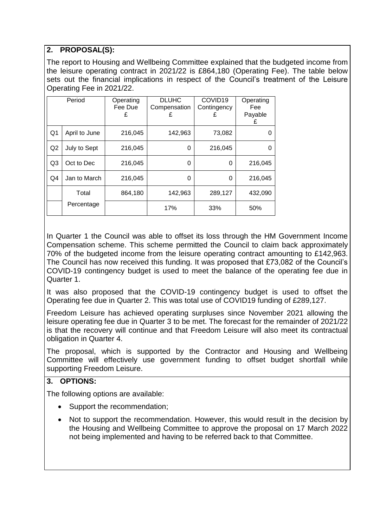# **2. PROPOSAL(S):**

The report to Housing and Wellbeing Committee explained that the budgeted income from the leisure operating contract in 2021/22 is £864,180 (Operating Fee). The table below sets out the financial implications in respect of the Council's treatment of the Leisure Operating Fee in 2021/22.

|                | Period        | Operating<br>Fee Due<br>£ | <b>DLUHC</b><br>Compensation<br>£ | COVID <sub>19</sub><br>Contingency<br>£ | Operating<br>Fee<br>Payable<br>£ |
|----------------|---------------|---------------------------|-----------------------------------|-----------------------------------------|----------------------------------|
| Q1             | April to June | 216,045                   | 142,963                           | 73,082                                  | O                                |
| Q <sub>2</sub> | July to Sept  | 216,045                   | 0                                 | 216,045                                 | O                                |
| Q <sub>3</sub> | Oct to Dec    | 216,045                   | 0                                 | 0                                       | 216,045                          |
| Q4             | Jan to March  | 216,045                   | 0                                 | 0                                       | 216,045                          |
|                | Total         | 864,180                   | 142,963                           | 289,127                                 | 432,090                          |
|                | Percentage    |                           | 17%                               | 33%                                     | 50%                              |

In Quarter 1 the Council was able to offset its loss through the HM Government Income Compensation scheme. This scheme permitted the Council to claim back approximately 70% of the budgeted income from the leisure operating contract amounting to £142,963. The Council has now received this funding. It was proposed that £73,082 of the Council's COVID-19 contingency budget is used to meet the balance of the operating fee due in Quarter 1.

It was also proposed that the COVID-19 contingency budget is used to offset the Operating fee due in Quarter 2. This was total use of COVID19 funding of £289,127.

Freedom Leisure has achieved operating surpluses since November 2021 allowing the leisure operating fee due in Quarter 3 to be met. The forecast for the remainder of 2021/22 is that the recovery will continue and that Freedom Leisure will also meet its contractual obligation in Quarter 4.

The proposal, which is supported by the Contractor and Housing and Wellbeing Committee will effectively use government funding to offset budget shortfall while supporting Freedom Leisure.

## **3. OPTIONS:**

The following options are available:

- Support the recommendation;
- Not to support the recommendation. However, this would result in the decision by the Housing and Wellbeing Committee to approve the proposal on 17 March 2022 not being implemented and having to be referred back to that Committee.